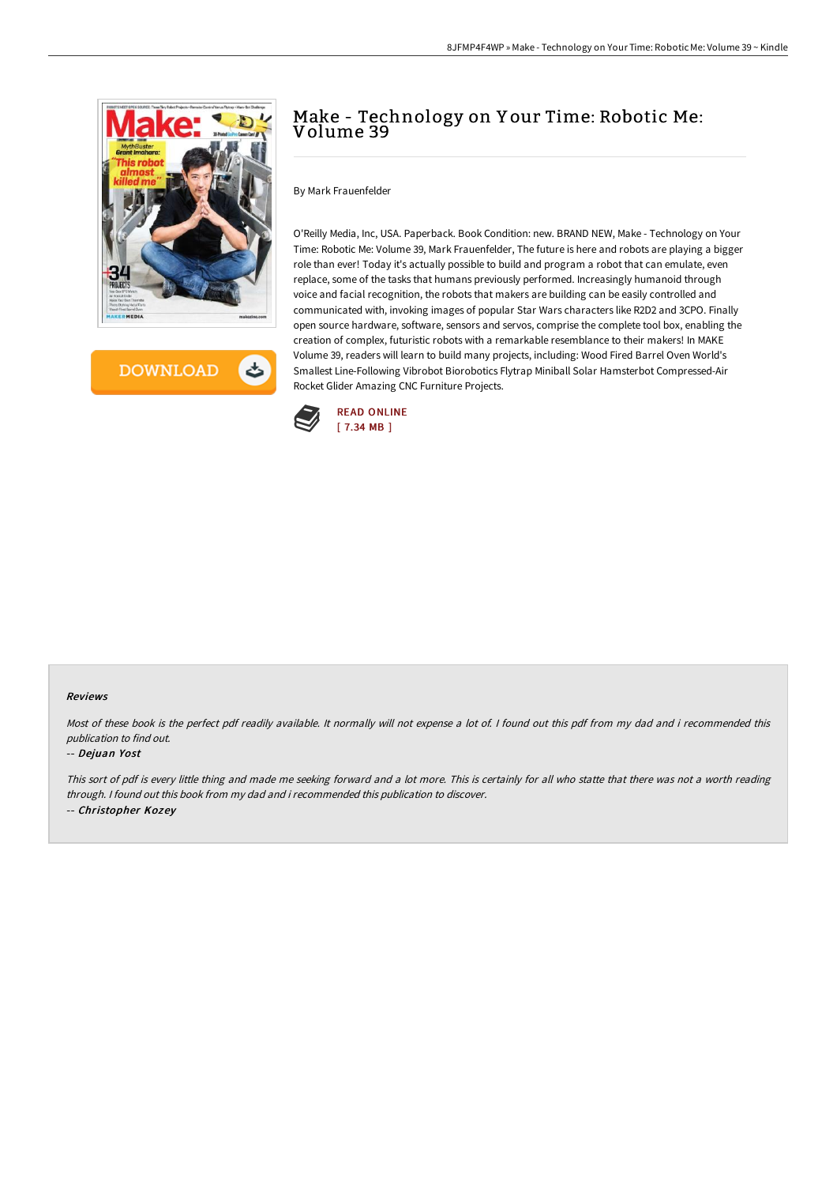



# Make - Technology on Y our Time: Robotic Me: Volume 39

By Mark Frauenfelder

O'Reilly Media, Inc, USA. Paperback. Book Condition: new. BRAND NEW, Make - Technology on Your Time: Robotic Me: Volume 39, Mark Frauenfelder, The future is here and robots are playing a bigger role than ever! Today it's actually possible to build and program a robot that can emulate, even replace, some of the tasks that humans previously performed. Increasingly humanoid through voice and facial recognition, the robots that makers are building can be easily controlled and communicated with, invoking images of popular Star Wars characters like R2D2 and 3CPO. Finally open source hardware, software, sensors and servos, comprise the complete tool box, enabling the creation of complex, futuristic robots with a remarkable resemblance to their makers! In MAKE Volume 39, readers will learn to build many projects, including: Wood Fired Barrel Oven World's Smallest Line-Following Vibrobot Biorobotics Flytrap Miniball Solar Hamsterbot Compressed-Air Rocket Glider Amazing CNC Furniture Projects.



#### Reviews

Most of these book is the perfect pdf readily available. It normally will not expense <sup>a</sup> lot of. I found out this pdf from my dad and i recommended this publication to find out.

#### -- Dejuan Yost

This sort of pdf is every little thing and made me seeking forward and <sup>a</sup> lot more. This is certainly for all who statte that there was not <sup>a</sup> worth reading through. <sup>I</sup> found out this book from my dad and i recommended this publication to discover. -- Christopher Kozey